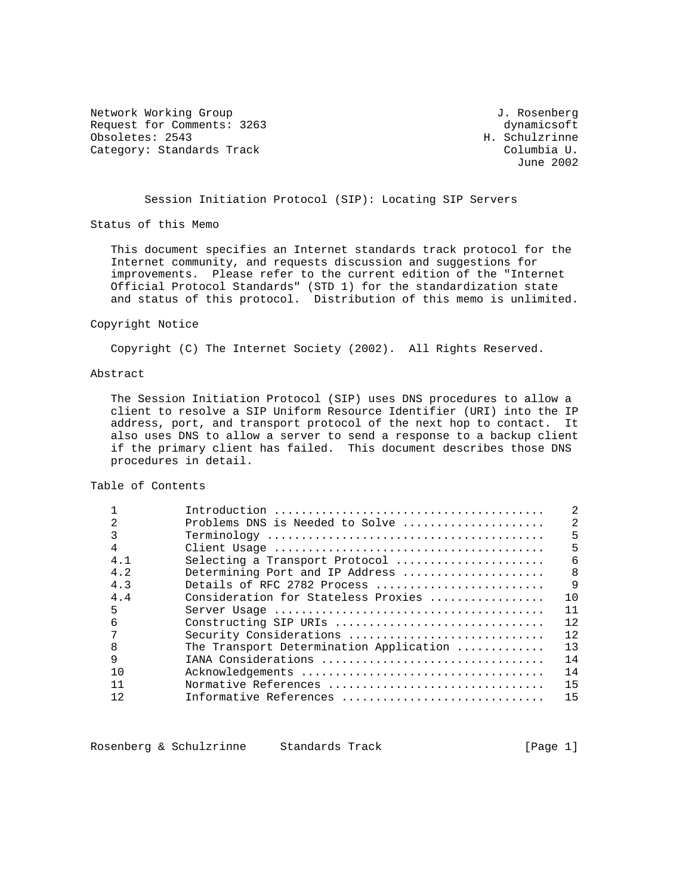Network Working Group 3. 2008 1. Rosenberg 3. Rosenberg 3. Rosenberg Request for Comments: 3263 dynamicsoft Category: Standards Track

H. Schulzrinne<br>Columbia U. June 2002

Session Initiation Protocol (SIP): Locating SIP Servers

Status of this Memo

 This document specifies an Internet standards track protocol for the Internet community, and requests discussion and suggestions for improvements. Please refer to the current edition of the "Internet Official Protocol Standards" (STD 1) for the standardization state and status of this protocol. Distribution of this memo is unlimited.

#### Copyright Notice

Copyright (C) The Internet Society (2002). All Rights Reserved.

## Abstract

 The Session Initiation Protocol (SIP) uses DNS procedures to allow a client to resolve a SIP Uniform Resource Identifier (URI) into the IP address, port, and transport protocol of the next hop to contact. It also uses DNS to allow a server to send a response to a backup client if the primary client has failed. This document describes those DNS procedures in detail.

Table of Contents

|     | Problems DNS is Needed to Solve         | $\mathfrak{D}$ |
|-----|-----------------------------------------|----------------|
|     |                                         | 5              |
| 4   |                                         | 5              |
| 4.1 | Selecting a Transport Protocol          | 6              |
| 4.2 | Determining Port and IP Address         | $\mathsf{R}$   |
| 4.3 | Details of RFC 2782 Process             | 9              |
| 4.4 | Consideration for Stateless Proxies     | 1 O            |
| 5   |                                         | 11             |
| 6   | Constructing SIP URIs                   | 12.            |
| 7   | Security Considerations                 | 12.            |
| 8   | The Transport Determination Application | 13             |
| 9   | IANA Considerations                     | 14             |
|     |                                         | 14             |
|     | Normative References                    | 15             |
|     | Informative References                  | 15             |
|     |                                         |                |

Rosenberg & Schulzrinne Standards Track [Page 1]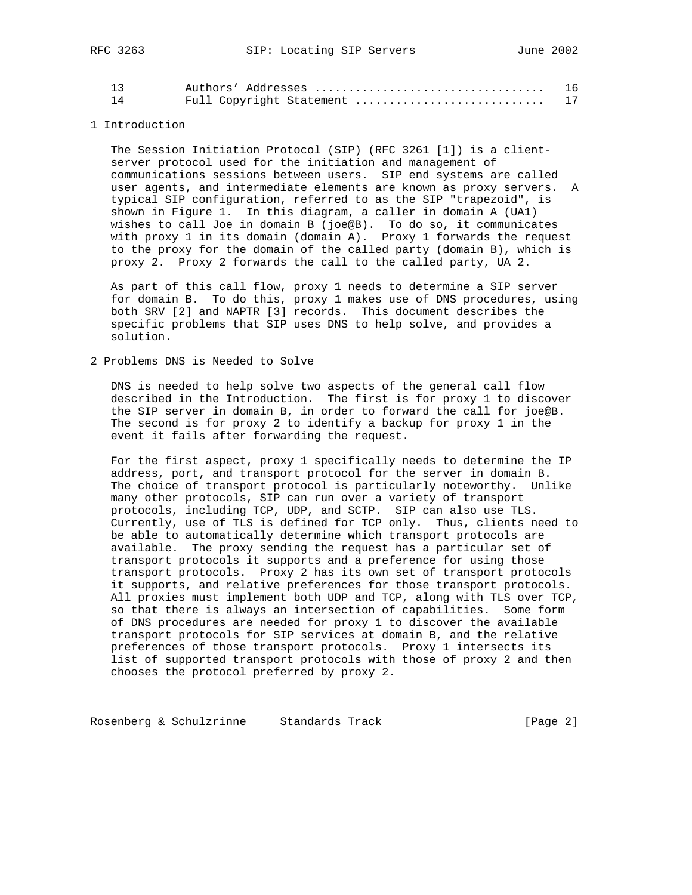| Full Copyright Statement |  |
|--------------------------|--|

## 1 Introduction

 The Session Initiation Protocol (SIP) (RFC 3261 [1]) is a client server protocol used for the initiation and management of communications sessions between users. SIP end systems are called user agents, and intermediate elements are known as proxy servers. A typical SIP configuration, referred to as the SIP "trapezoid", is shown in Figure 1. In this diagram, a caller in domain A (UA1) wishes to call Joe in domain B (joe@B). To do so, it communicates with proxy 1 in its domain (domain A). Proxy 1 forwards the request to the proxy for the domain of the called party (domain B), which is proxy 2. Proxy 2 forwards the call to the called party, UA 2.

 As part of this call flow, proxy 1 needs to determine a SIP server for domain B. To do this, proxy 1 makes use of DNS procedures, using both SRV [2] and NAPTR [3] records. This document describes the specific problems that SIP uses DNS to help solve, and provides a solution.

## 2 Problems DNS is Needed to Solve

 DNS is needed to help solve two aspects of the general call flow described in the Introduction. The first is for proxy 1 to discover the SIP server in domain B, in order to forward the call for joe@B. The second is for proxy 2 to identify a backup for proxy 1 in the event it fails after forwarding the request.

 For the first aspect, proxy 1 specifically needs to determine the IP address, port, and transport protocol for the server in domain B. The choice of transport protocol is particularly noteworthy. Unlike many other protocols, SIP can run over a variety of transport protocols, including TCP, UDP, and SCTP. SIP can also use TLS. Currently, use of TLS is defined for TCP only. Thus, clients need to be able to automatically determine which transport protocols are available. The proxy sending the request has a particular set of transport protocols it supports and a preference for using those transport protocols. Proxy 2 has its own set of transport protocols it supports, and relative preferences for those transport protocols. All proxies must implement both UDP and TCP, along with TLS over TCP, so that there is always an intersection of capabilities. Some form of DNS procedures are needed for proxy 1 to discover the available transport protocols for SIP services at domain B, and the relative preferences of those transport protocols. Proxy 1 intersects its list of supported transport protocols with those of proxy 2 and then chooses the protocol preferred by proxy 2.

Rosenberg & Schulzrinne Standards Track (Page 2)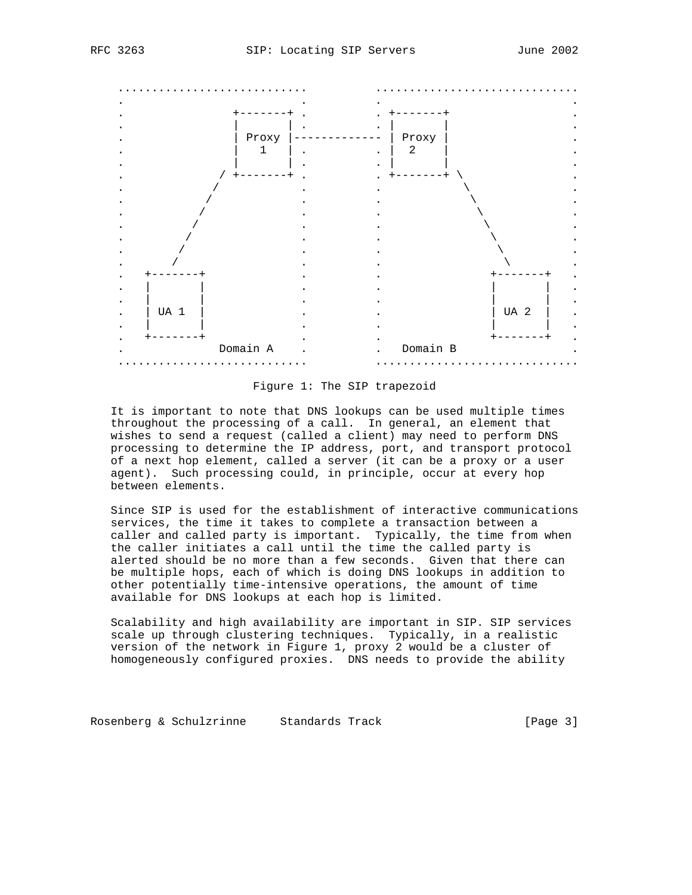

Figure 1: The SIP trapezoid

 It is important to note that DNS lookups can be used multiple times throughout the processing of a call. In general, an element that wishes to send a request (called a client) may need to perform DNS processing to determine the IP address, port, and transport protocol of a next hop element, called a server (it can be a proxy or a user agent). Such processing could, in principle, occur at every hop between elements.

 Since SIP is used for the establishment of interactive communications services, the time it takes to complete a transaction between a caller and called party is important. Typically, the time from when the caller initiates a call until the time the called party is alerted should be no more than a few seconds. Given that there can be multiple hops, each of which is doing DNS lookups in addition to other potentially time-intensive operations, the amount of time available for DNS lookups at each hop is limited.

 Scalability and high availability are important in SIP. SIP services scale up through clustering techniques. Typically, in a realistic version of the network in Figure 1, proxy 2 would be a cluster of homogeneously configured proxies. DNS needs to provide the ability

Rosenberg & Schulzrinne Standards Track [Page 3]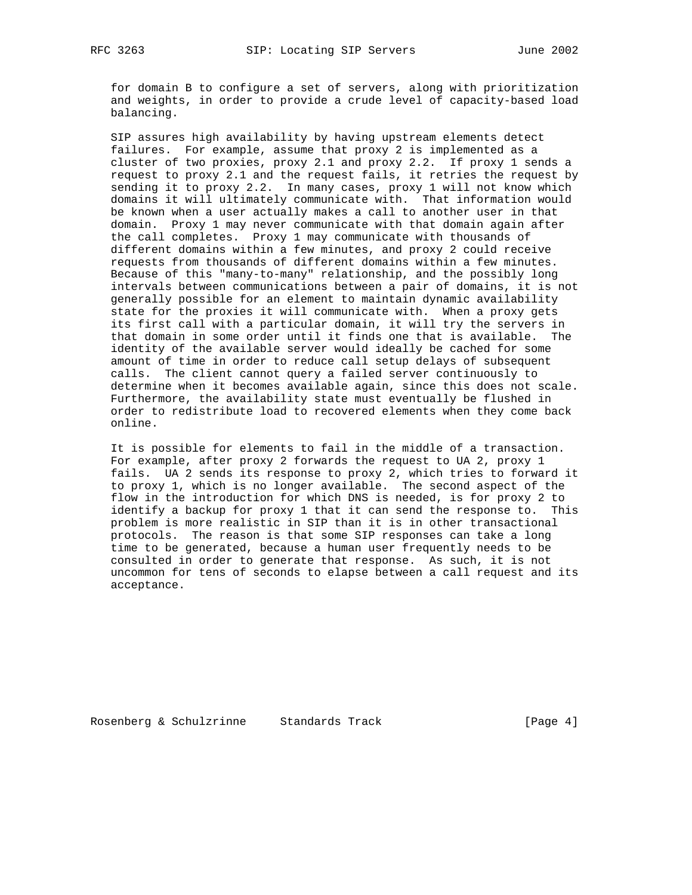for domain B to configure a set of servers, along with prioritization and weights, in order to provide a crude level of capacity-based load balancing.

 SIP assures high availability by having upstream elements detect failures. For example, assume that proxy 2 is implemented as a cluster of two proxies, proxy 2.1 and proxy 2.2. If proxy 1 sends a request to proxy 2.1 and the request fails, it retries the request by sending it to proxy 2.2. In many cases, proxy 1 will not know which domains it will ultimately communicate with. That information would be known when a user actually makes a call to another user in that domain. Proxy 1 may never communicate with that domain again after the call completes. Proxy 1 may communicate with thousands of different domains within a few minutes, and proxy 2 could receive requests from thousands of different domains within a few minutes. Because of this "many-to-many" relationship, and the possibly long intervals between communications between a pair of domains, it is not generally possible for an element to maintain dynamic availability state for the proxies it will communicate with. When a proxy gets its first call with a particular domain, it will try the servers in that domain in some order until it finds one that is available. The identity of the available server would ideally be cached for some amount of time in order to reduce call setup delays of subsequent calls. The client cannot query a failed server continuously to determine when it becomes available again, since this does not scale. Furthermore, the availability state must eventually be flushed in order to redistribute load to recovered elements when they come back online.

 It is possible for elements to fail in the middle of a transaction. For example, after proxy 2 forwards the request to UA 2, proxy 1 fails. UA 2 sends its response to proxy 2, which tries to forward it to proxy 1, which is no longer available. The second aspect of the flow in the introduction for which DNS is needed, is for proxy 2 to identify a backup for proxy 1 that it can send the response to. This problem is more realistic in SIP than it is in other transactional protocols. The reason is that some SIP responses can take a long time to be generated, because a human user frequently needs to be consulted in order to generate that response. As such, it is not uncommon for tens of seconds to elapse between a call request and its acceptance.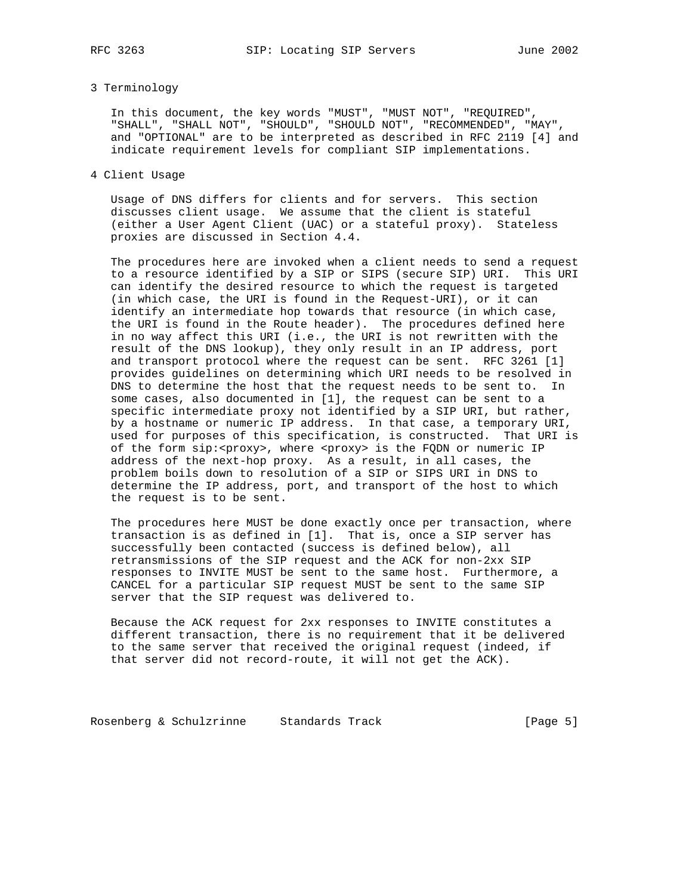### 3 Terminology

 In this document, the key words "MUST", "MUST NOT", "REQUIRED", "SHALL", "SHALL NOT", "SHOULD", "SHOULD NOT", "RECOMMENDED", "MAY", and "OPTIONAL" are to be interpreted as described in RFC 2119 [4] and indicate requirement levels for compliant SIP implementations.

## 4 Client Usage

 Usage of DNS differs for clients and for servers. This section discusses client usage. We assume that the client is stateful (either a User Agent Client (UAC) or a stateful proxy). Stateless proxies are discussed in Section 4.4.

 The procedures here are invoked when a client needs to send a request to a resource identified by a SIP or SIPS (secure SIP) URI. This URI can identify the desired resource to which the request is targeted (in which case, the URI is found in the Request-URI), or it can identify an intermediate hop towards that resource (in which case, the URI is found in the Route header). The procedures defined here in no way affect this URI (i.e., the URI is not rewritten with the result of the DNS lookup), they only result in an IP address, port and transport protocol where the request can be sent. RFC 3261 [1] provides guidelines on determining which URI needs to be resolved in DNS to determine the host that the request needs to be sent to. In some cases, also documented in [1], the request can be sent to a specific intermediate proxy not identified by a SIP URI, but rather, by a hostname or numeric IP address. In that case, a temporary URI, used for purposes of this specification, is constructed. That URI is of the form sip:<proxy>, where <proxy> is the FQDN or numeric IP address of the next-hop proxy. As a result, in all cases, the problem boils down to resolution of a SIP or SIPS URI in DNS to determine the IP address, port, and transport of the host to which the request is to be sent.

 The procedures here MUST be done exactly once per transaction, where transaction is as defined in [1]. That is, once a SIP server has successfully been contacted (success is defined below), all retransmissions of the SIP request and the ACK for non-2xx SIP responses to INVITE MUST be sent to the same host. Furthermore, a CANCEL for a particular SIP request MUST be sent to the same SIP server that the SIP request was delivered to.

 Because the ACK request for 2xx responses to INVITE constitutes a different transaction, there is no requirement that it be delivered to the same server that received the original request (indeed, if that server did not record-route, it will not get the ACK).

Rosenberg & Schulzrinne Standards Track (Page 5)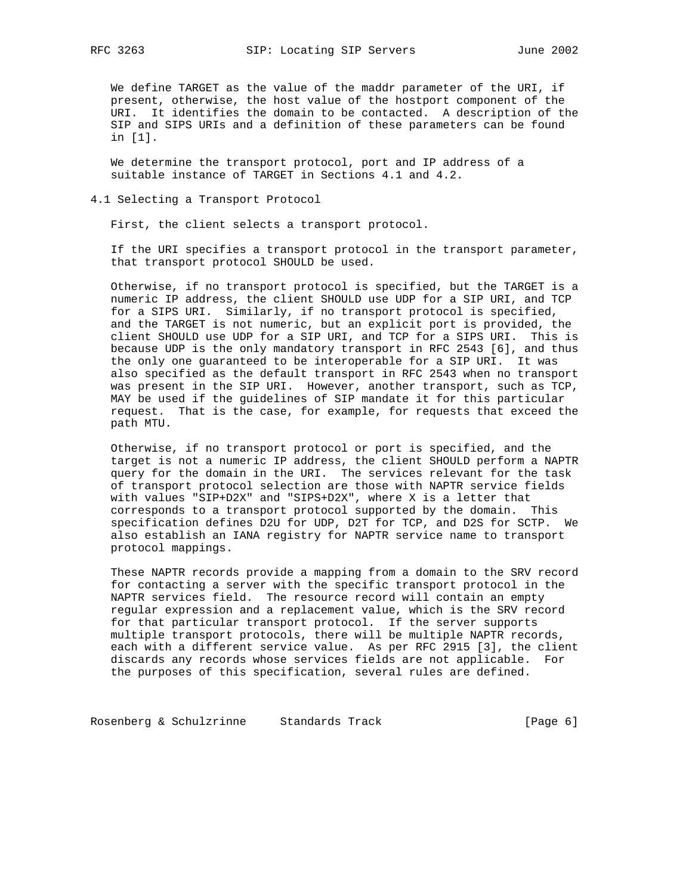We define TARGET as the value of the maddr parameter of the URI, if present, otherwise, the host value of the hostport component of the URI. It identifies the domain to be contacted. A description of the SIP and SIPS URIs and a definition of these parameters can be found in [1].

 We determine the transport protocol, port and IP address of a suitable instance of TARGET in Sections 4.1 and 4.2.

4.1 Selecting a Transport Protocol

First, the client selects a transport protocol.

 If the URI specifies a transport protocol in the transport parameter, that transport protocol SHOULD be used.

 Otherwise, if no transport protocol is specified, but the TARGET is a numeric IP address, the client SHOULD use UDP for a SIP URI, and TCP for a SIPS URI. Similarly, if no transport protocol is specified, and the TARGET is not numeric, but an explicit port is provided, the client SHOULD use UDP for a SIP URI, and TCP for a SIPS URI. This is because UDP is the only mandatory transport in RFC 2543 [6], and thus the only one guaranteed to be interoperable for a SIP URI. It was also specified as the default transport in RFC 2543 when no transport was present in the SIP URI. However, another transport, such as TCP, MAY be used if the guidelines of SIP mandate it for this particular request. That is the case, for example, for requests that exceed the path MTU.

 Otherwise, if no transport protocol or port is specified, and the target is not a numeric IP address, the client SHOULD perform a NAPTR query for the domain in the URI. The services relevant for the task of transport protocol selection are those with NAPTR service fields with values "SIP+D2X" and "SIPS+D2X", where X is a letter that corresponds to a transport protocol supported by the domain. This specification defines D2U for UDP, D2T for TCP, and D2S for SCTP. We also establish an IANA registry for NAPTR service name to transport protocol mappings.

 These NAPTR records provide a mapping from a domain to the SRV record for contacting a server with the specific transport protocol in the NAPTR services field. The resource record will contain an empty regular expression and a replacement value, which is the SRV record for that particular transport protocol. If the server supports multiple transport protocols, there will be multiple NAPTR records, each with a different service value. As per RFC 2915 [3], the client discards any records whose services fields are not applicable. For the purposes of this specification, several rules are defined.

Rosenberg & Schulzrinne Standards Track (Page 6)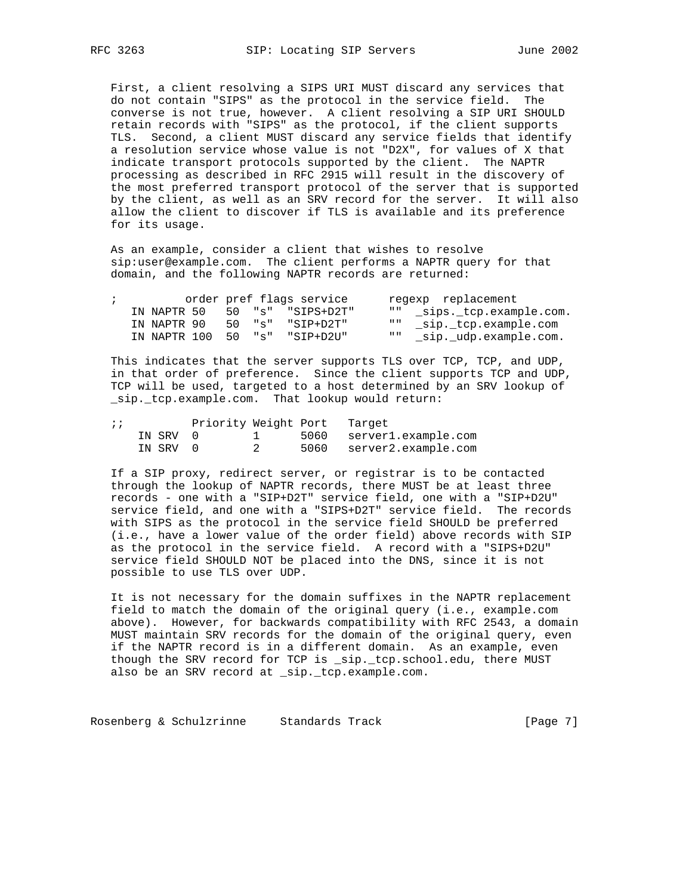First, a client resolving a SIPS URI MUST discard any services that do not contain "SIPS" as the protocol in the service field. The converse is not true, however. A client resolving a SIP URI SHOULD retain records with "SIPS" as the protocol, if the client supports TLS. Second, a client MUST discard any service fields that identify a resolution service whose value is not "D2X", for values of X that indicate transport protocols supported by the client. The NAPTR processing as described in RFC 2915 will result in the discovery of the most preferred transport protocol of the server that is supported by the client, as well as an SRV record for the server. It will also allow the client to discover if TLS is available and its preference for its usage.

 As an example, consider a client that wishes to resolve sip:user@example.com. The client performs a NAPTR query for that domain, and the following NAPTR records are returned:

|                               |  | order pref flags service | regexp replacement        |
|-------------------------------|--|--------------------------|---------------------------|
| IN NAPTR 50 50 "s" "SIPS+D2T" |  |                          | "" sips. tcp.example.com. |
| IN NAPTR 90 50 "s" "SIP+D2T"  |  |                          | "" _sip._tcp.example.com  |
| IN NAPTR 100 50 "s" "SIP+D2U" |  |                          | "" _sip._udp.example.com. |

 This indicates that the server supports TLS over TCP, TCP, and UDP, in that order of preference. Since the client supports TCP and UDP, TCP will be used, targeted to a host determined by an SRV lookup of \_sip.\_tcp.example.com. That lookup would return:

| $\cdots$ |          | Priority Weight Port Target |                  |                          |
|----------|----------|-----------------------------|------------------|--------------------------|
|          | IN SRV 0 |                             | and the contract | 5060 server1.example.com |
|          | IN SRV 0 |                             |                  | 5060 server2.example.com |

 If a SIP proxy, redirect server, or registrar is to be contacted through the lookup of NAPTR records, there MUST be at least three records - one with a "SIP+D2T" service field, one with a "SIP+D2U" service field, and one with a "SIPS+D2T" service field. The records with SIPS as the protocol in the service field SHOULD be preferred (i.e., have a lower value of the order field) above records with SIP as the protocol in the service field. A record with a "SIPS+D2U" service field SHOULD NOT be placed into the DNS, since it is not possible to use TLS over UDP.

 It is not necessary for the domain suffixes in the NAPTR replacement field to match the domain of the original query (i.e., example.com above). However, for backwards compatibility with RFC 2543, a domain MUST maintain SRV records for the domain of the original query, even if the NAPTR record is in a different domain. As an example, even though the SRV record for TCP is \_sip.\_tcp.school.edu, there MUST also be an SRV record at \_sip.\_tcp.example.com.

Rosenberg & Schulzrinne Standards Track (Page 7)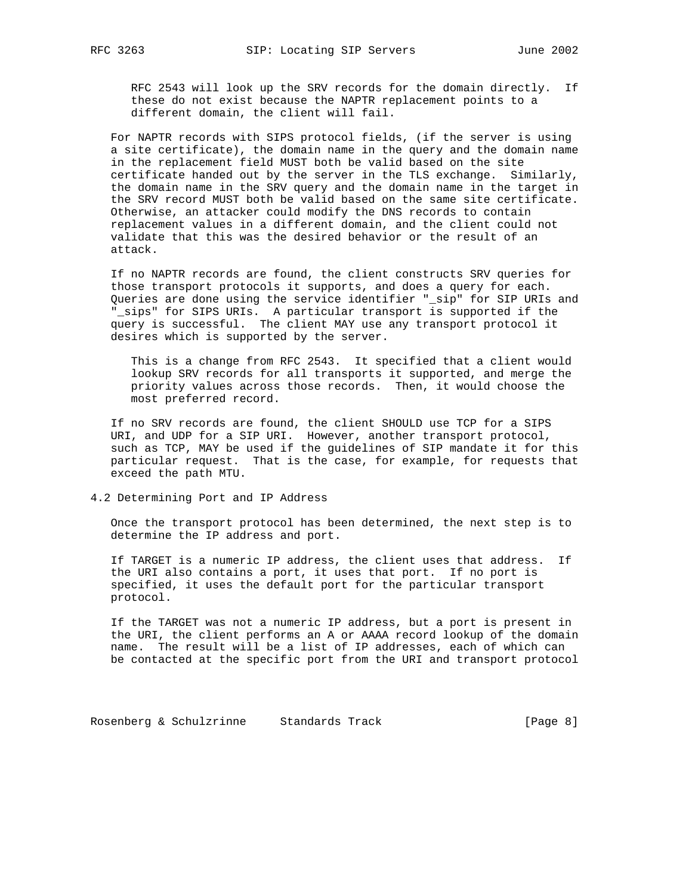RFC 2543 will look up the SRV records for the domain directly. If these do not exist because the NAPTR replacement points to a different domain, the client will fail.

 For NAPTR records with SIPS protocol fields, (if the server is using a site certificate), the domain name in the query and the domain name in the replacement field MUST both be valid based on the site certificate handed out by the server in the TLS exchange. Similarly, the domain name in the SRV query and the domain name in the target in the SRV record MUST both be valid based on the same site certificate. Otherwise, an attacker could modify the DNS records to contain replacement values in a different domain, and the client could not validate that this was the desired behavior or the result of an attack.

 If no NAPTR records are found, the client constructs SRV queries for those transport protocols it supports, and does a query for each. Queries are done using the service identifier "\_sip" for SIP URIs and "\_sips" for SIPS URIs. A particular transport is supported if the query is successful. The client MAY use any transport protocol it desires which is supported by the server.

 This is a change from RFC 2543. It specified that a client would lookup SRV records for all transports it supported, and merge the priority values across those records. Then, it would choose the most preferred record.

 If no SRV records are found, the client SHOULD use TCP for a SIPS URI, and UDP for a SIP URI. However, another transport protocol, such as TCP, MAY be used if the guidelines of SIP mandate it for this particular request. That is the case, for example, for requests that exceed the path MTU.

4.2 Determining Port and IP Address

 Once the transport protocol has been determined, the next step is to determine the IP address and port.

 If TARGET is a numeric IP address, the client uses that address. If the URI also contains a port, it uses that port. If no port is specified, it uses the default port for the particular transport protocol.

 If the TARGET was not a numeric IP address, but a port is present in the URI, the client performs an A or AAAA record lookup of the domain name. The result will be a list of IP addresses, each of which can be contacted at the specific port from the URI and transport protocol

Rosenberg & Schulzrinne Standards Track (Page 8)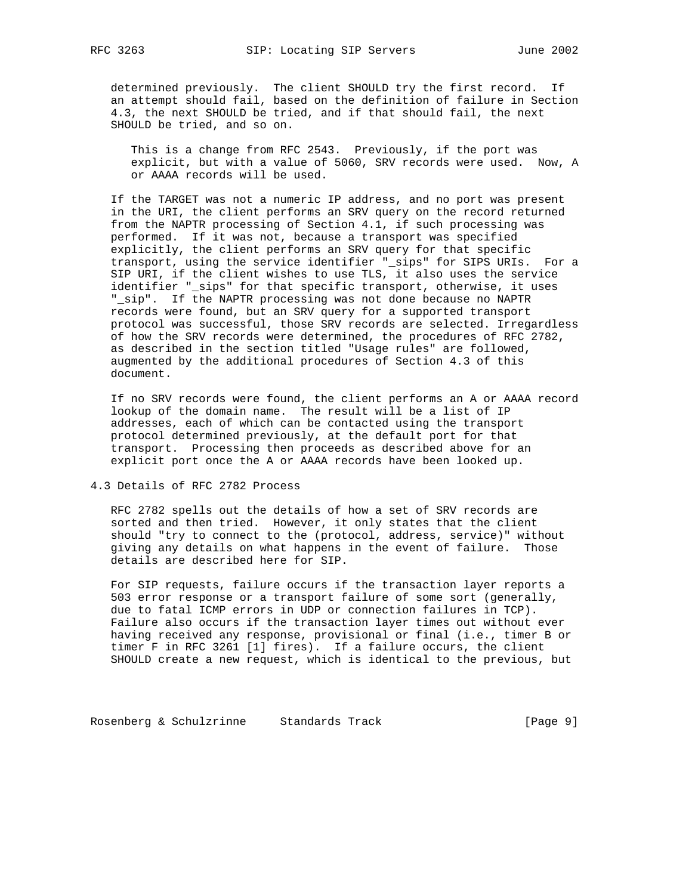determined previously. The client SHOULD try the first record. If an attempt should fail, based on the definition of failure in Section 4.3, the next SHOULD be tried, and if that should fail, the next SHOULD be tried, and so on.

 This is a change from RFC 2543. Previously, if the port was explicit, but with a value of 5060, SRV records were used. Now, A or AAAA records will be used.

 If the TARGET was not a numeric IP address, and no port was present in the URI, the client performs an SRV query on the record returned from the NAPTR processing of Section 4.1, if such processing was performed. If it was not, because a transport was specified explicitly, the client performs an SRV query for that specific transport, using the service identifier "\_sips" for SIPS URIs. For a SIP URI, if the client wishes to use TLS, it also uses the service identifier "\_sips" for that specific transport, otherwise, it uses "\_sip". If the NAPTR processing was not done because no NAPTR records were found, but an SRV query for a supported transport protocol was successful, those SRV records are selected. Irregardless of how the SRV records were determined, the procedures of RFC 2782, as described in the section titled "Usage rules" are followed, augmented by the additional procedures of Section 4.3 of this document.

 If no SRV records were found, the client performs an A or AAAA record lookup of the domain name. The result will be a list of IP addresses, each of which can be contacted using the transport protocol determined previously, at the default port for that transport. Processing then proceeds as described above for an explicit port once the A or AAAA records have been looked up.

4.3 Details of RFC 2782 Process

 RFC 2782 spells out the details of how a set of SRV records are sorted and then tried. However, it only states that the client should "try to connect to the (protocol, address, service)" without giving any details on what happens in the event of failure. Those details are described here for SIP.

 For SIP requests, failure occurs if the transaction layer reports a 503 error response or a transport failure of some sort (generally, due to fatal ICMP errors in UDP or connection failures in TCP). Failure also occurs if the transaction layer times out without ever having received any response, provisional or final (i.e., timer B or timer F in RFC 3261 [1] fires). If a failure occurs, the client SHOULD create a new request, which is identical to the previous, but

Rosenberg & Schulzrinne Standards Track (Page 9)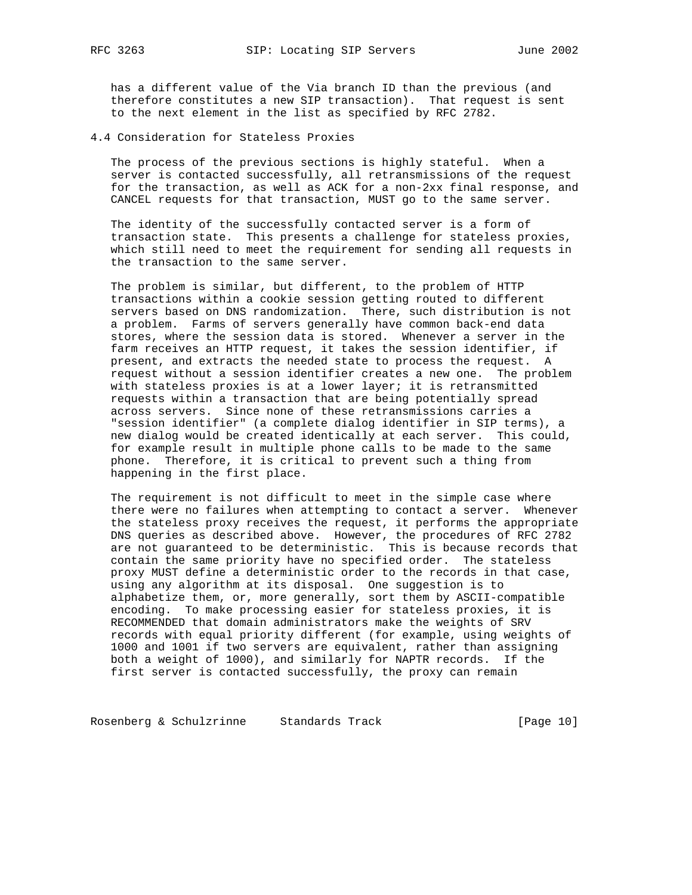has a different value of the Via branch ID than the previous (and therefore constitutes a new SIP transaction). That request is sent to the next element in the list as specified by RFC 2782.

4.4 Consideration for Stateless Proxies

 The process of the previous sections is highly stateful. When a server is contacted successfully, all retransmissions of the request for the transaction, as well as ACK for a non-2xx final response, and CANCEL requests for that transaction, MUST go to the same server.

 The identity of the successfully contacted server is a form of transaction state. This presents a challenge for stateless proxies, which still need to meet the requirement for sending all requests in the transaction to the same server.

 The problem is similar, but different, to the problem of HTTP transactions within a cookie session getting routed to different servers based on DNS randomization. There, such distribution is not a problem. Farms of servers generally have common back-end data stores, where the session data is stored. Whenever a server in the farm receives an HTTP request, it takes the session identifier, if present, and extracts the needed state to process the request. A request without a session identifier creates a new one. The problem with stateless proxies is at a lower layer; it is retransmitted requests within a transaction that are being potentially spread across servers. Since none of these retransmissions carries a "session identifier" (a complete dialog identifier in SIP terms), a new dialog would be created identically at each server. This could, for example result in multiple phone calls to be made to the same phone. Therefore, it is critical to prevent such a thing from happening in the first place.

 The requirement is not difficult to meet in the simple case where there were no failures when attempting to contact a server. Whenever the stateless proxy receives the request, it performs the appropriate DNS queries as described above. However, the procedures of RFC 2782 are not guaranteed to be deterministic. This is because records that contain the same priority have no specified order. The stateless proxy MUST define a deterministic order to the records in that case, using any algorithm at its disposal. One suggestion is to alphabetize them, or, more generally, sort them by ASCII-compatible encoding. To make processing easier for stateless proxies, it is RECOMMENDED that domain administrators make the weights of SRV records with equal priority different (for example, using weights of 1000 and 1001 if two servers are equivalent, rather than assigning both a weight of 1000), and similarly for NAPTR records. If the first server is contacted successfully, the proxy can remain

Rosenberg & Schulzrinne Standards Track [Page 10]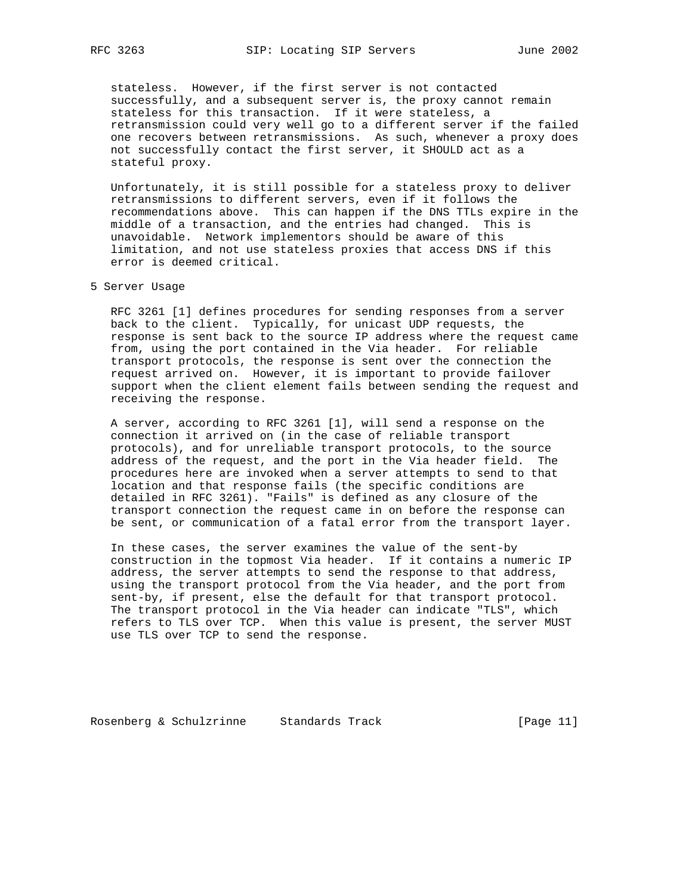stateless. However, if the first server is not contacted successfully, and a subsequent server is, the proxy cannot remain stateless for this transaction. If it were stateless, a retransmission could very well go to a different server if the failed one recovers between retransmissions. As such, whenever a proxy does not successfully contact the first server, it SHOULD act as a stateful proxy.

 Unfortunately, it is still possible for a stateless proxy to deliver retransmissions to different servers, even if it follows the recommendations above. This can happen if the DNS TTLs expire in the middle of a transaction, and the entries had changed. This is unavoidable. Network implementors should be aware of this limitation, and not use stateless proxies that access DNS if this error is deemed critical.

5 Server Usage

 RFC 3261 [1] defines procedures for sending responses from a server back to the client. Typically, for unicast UDP requests, the response is sent back to the source IP address where the request came from, using the port contained in the Via header. For reliable transport protocols, the response is sent over the connection the request arrived on. However, it is important to provide failover support when the client element fails between sending the request and receiving the response.

 A server, according to RFC 3261 [1], will send a response on the connection it arrived on (in the case of reliable transport protocols), and for unreliable transport protocols, to the source address of the request, and the port in the Via header field. The procedures here are invoked when a server attempts to send to that location and that response fails (the specific conditions are detailed in RFC 3261). "Fails" is defined as any closure of the transport connection the request came in on before the response can be sent, or communication of a fatal error from the transport layer.

 In these cases, the server examines the value of the sent-by construction in the topmost Via header. If it contains a numeric IP address, the server attempts to send the response to that address, using the transport protocol from the Via header, and the port from sent-by, if present, else the default for that transport protocol. The transport protocol in the Via header can indicate "TLS", which refers to TLS over TCP. When this value is present, the server MUST use TLS over TCP to send the response.

Rosenberg & Schulzrinne Standards Track [Page 11]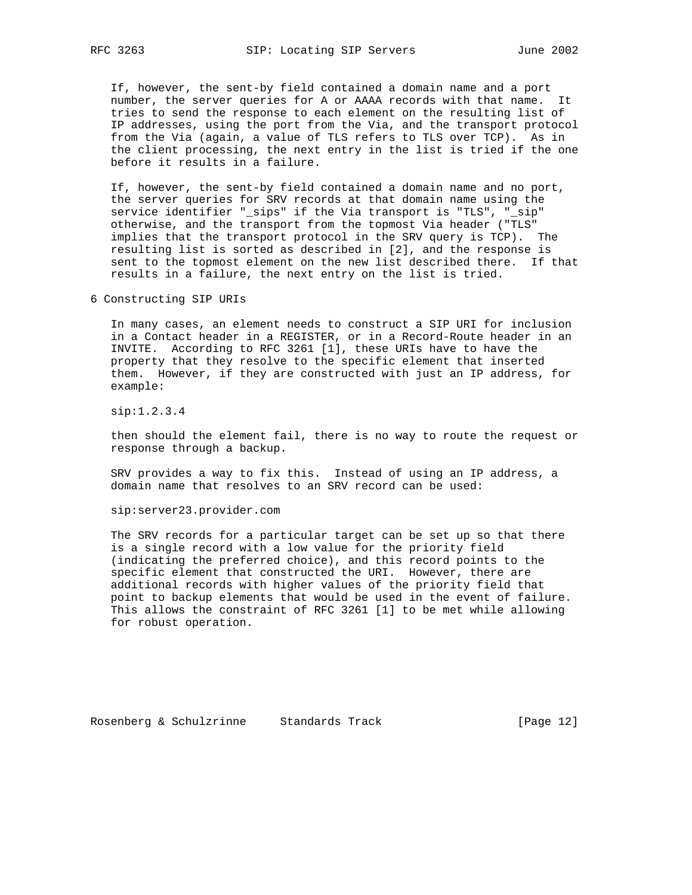If, however, the sent-by field contained a domain name and a port number, the server queries for A or AAAA records with that name. It tries to send the response to each element on the resulting list of IP addresses, using the port from the Via, and the transport protocol from the Via (again, a value of TLS refers to TLS over TCP). As in the client processing, the next entry in the list is tried if the one before it results in a failure.

 If, however, the sent-by field contained a domain name and no port, the server queries for SRV records at that domain name using the service identifier "\_sips" if the Via transport is "TLS", "\_sip" otherwise, and the transport from the topmost Via header ("TLS" implies that the transport protocol in the SRV query is TCP). The resulting list is sorted as described in [2], and the response is sent to the topmost element on the new list described there. If that results in a failure, the next entry on the list is tried.

6 Constructing SIP URIs

 In many cases, an element needs to construct a SIP URI for inclusion in a Contact header in a REGISTER, or in a Record-Route header in an INVITE. According to RFC 3261 [1], these URIs have to have the property that they resolve to the specific element that inserted them. However, if they are constructed with just an IP address, for example:

sip:1.2.3.4

 then should the element fail, there is no way to route the request or response through a backup.

 SRV provides a way to fix this. Instead of using an IP address, a domain name that resolves to an SRV record can be used:

sip:server23.provider.com

 The SRV records for a particular target can be set up so that there is a single record with a low value for the priority field (indicating the preferred choice), and this record points to the specific element that constructed the URI. However, there are additional records with higher values of the priority field that point to backup elements that would be used in the event of failure. This allows the constraint of RFC 3261 [1] to be met while allowing for robust operation.

Rosenberg & Schulzrinne Standards Track [Page 12]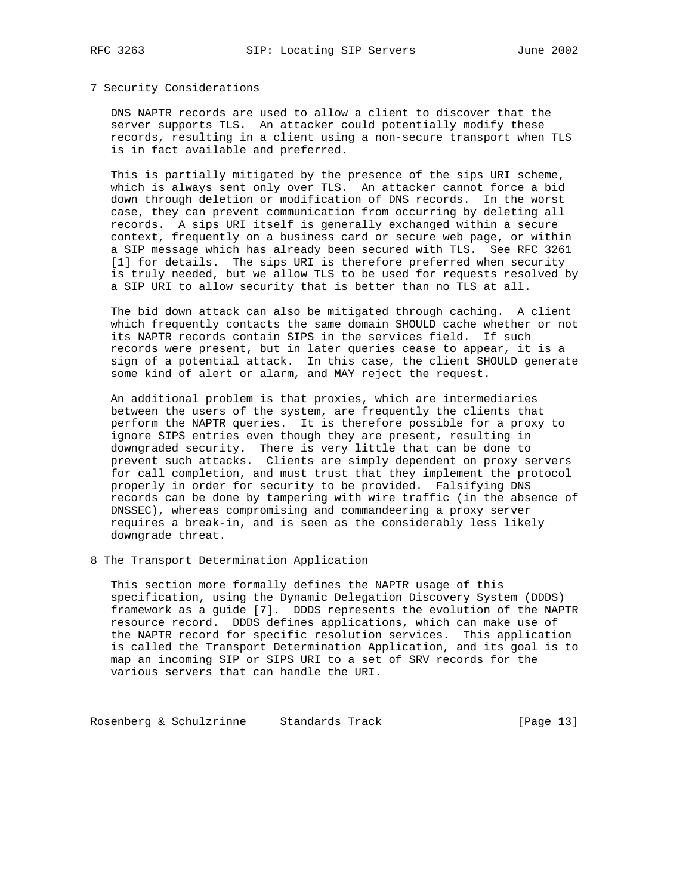### 7 Security Considerations

 DNS NAPTR records are used to allow a client to discover that the server supports TLS. An attacker could potentially modify these records, resulting in a client using a non-secure transport when TLS is in fact available and preferred.

 This is partially mitigated by the presence of the sips URI scheme, which is always sent only over TLS. An attacker cannot force a bid down through deletion or modification of DNS records. In the worst case, they can prevent communication from occurring by deleting all records. A sips URI itself is generally exchanged within a secure context, frequently on a business card or secure web page, or within a SIP message which has already been secured with TLS. See RFC 3261 [1] for details. The sips URI is therefore preferred when security is truly needed, but we allow TLS to be used for requests resolved by a SIP URI to allow security that is better than no TLS at all.

 The bid down attack can also be mitigated through caching. A client which frequently contacts the same domain SHOULD cache whether or not its NAPTR records contain SIPS in the services field. If such records were present, but in later queries cease to appear, it is a sign of a potential attack. In this case, the client SHOULD generate some kind of alert or alarm, and MAY reject the request.

 An additional problem is that proxies, which are intermediaries between the users of the system, are frequently the clients that perform the NAPTR queries. It is therefore possible for a proxy to ignore SIPS entries even though they are present, resulting in downgraded security. There is very little that can be done to prevent such attacks. Clients are simply dependent on proxy servers for call completion, and must trust that they implement the protocol properly in order for security to be provided. Falsifying DNS records can be done by tampering with wire traffic (in the absence of DNSSEC), whereas compromising and commandeering a proxy server requires a break-in, and is seen as the considerably less likely downgrade threat.

8 The Transport Determination Application

 This section more formally defines the NAPTR usage of this specification, using the Dynamic Delegation Discovery System (DDDS) framework as a guide [7]. DDDS represents the evolution of the NAPTR resource record. DDDS defines applications, which can make use of the NAPTR record for specific resolution services. This application is called the Transport Determination Application, and its goal is to map an incoming SIP or SIPS URI to a set of SRV records for the various servers that can handle the URI.

Rosenberg & Schulzrinne Standards Track [Page 13]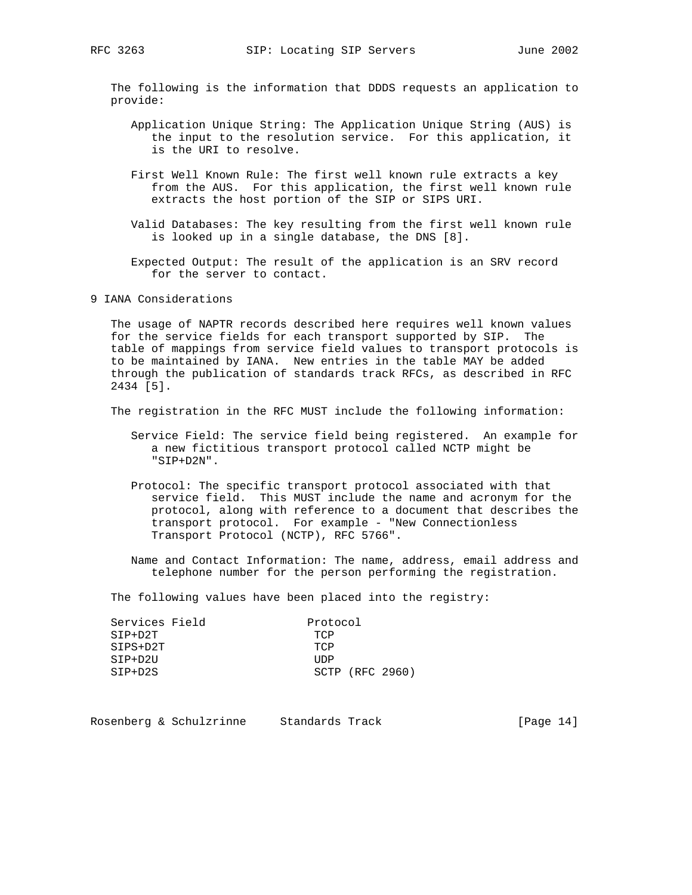The following is the information that DDDS requests an application to provide:

- Application Unique String: The Application Unique String (AUS) is the input to the resolution service. For this application, it is the URI to resolve.
- First Well Known Rule: The first well known rule extracts a key from the AUS. For this application, the first well known rule extracts the host portion of the SIP or SIPS URI.
- Valid Databases: The key resulting from the first well known rule is looked up in a single database, the DNS [8].
- Expected Output: The result of the application is an SRV record for the server to contact.
- 9 IANA Considerations

 The usage of NAPTR records described here requires well known values for the service fields for each transport supported by SIP. The table of mappings from service field values to transport protocols is to be maintained by IANA. New entries in the table MAY be added through the publication of standards track RFCs, as described in RFC 2434 [5].

The registration in the RFC MUST include the following information:

- Service Field: The service field being registered. An example for a new fictitious transport protocol called NCTP might be "SIP+D2N".
- Protocol: The specific transport protocol associated with that service field. This MUST include the name and acronym for the protocol, along with reference to a document that describes the transport protocol. For example - "New Connectionless Transport Protocol (NCTP), RFC 5766".
- Name and Contact Information: The name, address, email address and telephone number for the person performing the registration.

The following values have been placed into the registry:

| Services Field |  | Protocol |                 |
|----------------|--|----------|-----------------|
| SIP+D2T        |  | TCP      |                 |
| SIPS+D2T       |  | TCP      |                 |
| $SIP+D2U$      |  | TIDP     |                 |
| SIP+D2S        |  |          | SCTP (RFC 2960) |
|                |  |          |                 |

Rosenberg & Schulzrinne Standards Track [Page 14]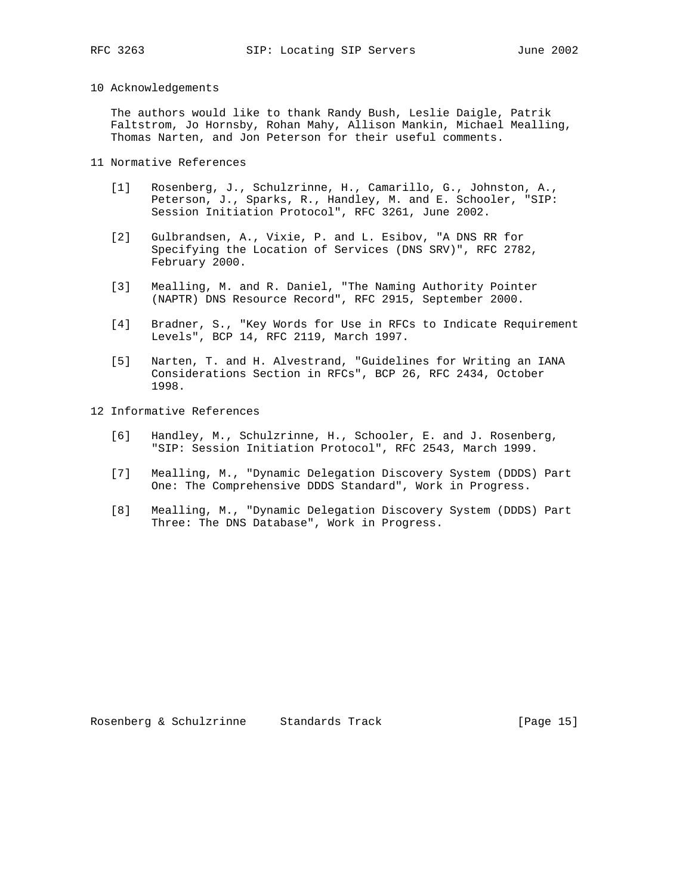## 10 Acknowledgements

 The authors would like to thank Randy Bush, Leslie Daigle, Patrik Faltstrom, Jo Hornsby, Rohan Mahy, Allison Mankin, Michael Mealling, Thomas Narten, and Jon Peterson for their useful comments.

- 11 Normative References
	- [1] Rosenberg, J., Schulzrinne, H., Camarillo, G., Johnston, A., Peterson, J., Sparks, R., Handley, M. and E. Schooler, "SIP: Session Initiation Protocol", RFC 3261, June 2002.
	- [2] Gulbrandsen, A., Vixie, P. and L. Esibov, "A DNS RR for Specifying the Location of Services (DNS SRV)", RFC 2782, February 2000.
	- [3] Mealling, M. and R. Daniel, "The Naming Authority Pointer (NAPTR) DNS Resource Record", RFC 2915, September 2000.
	- [4] Bradner, S., "Key Words for Use in RFCs to Indicate Requirement Levels", BCP 14, RFC 2119, March 1997.
	- [5] Narten, T. and H. Alvestrand, "Guidelines for Writing an IANA Considerations Section in RFCs", BCP 26, RFC 2434, October 1998.

## 12 Informative References

- [6] Handley, M., Schulzrinne, H., Schooler, E. and J. Rosenberg, "SIP: Session Initiation Protocol", RFC 2543, March 1999.
- [7] Mealling, M., "Dynamic Delegation Discovery System (DDDS) Part One: The Comprehensive DDDS Standard", Work in Progress.
- [8] Mealling, M., "Dynamic Delegation Discovery System (DDDS) Part Three: The DNS Database", Work in Progress.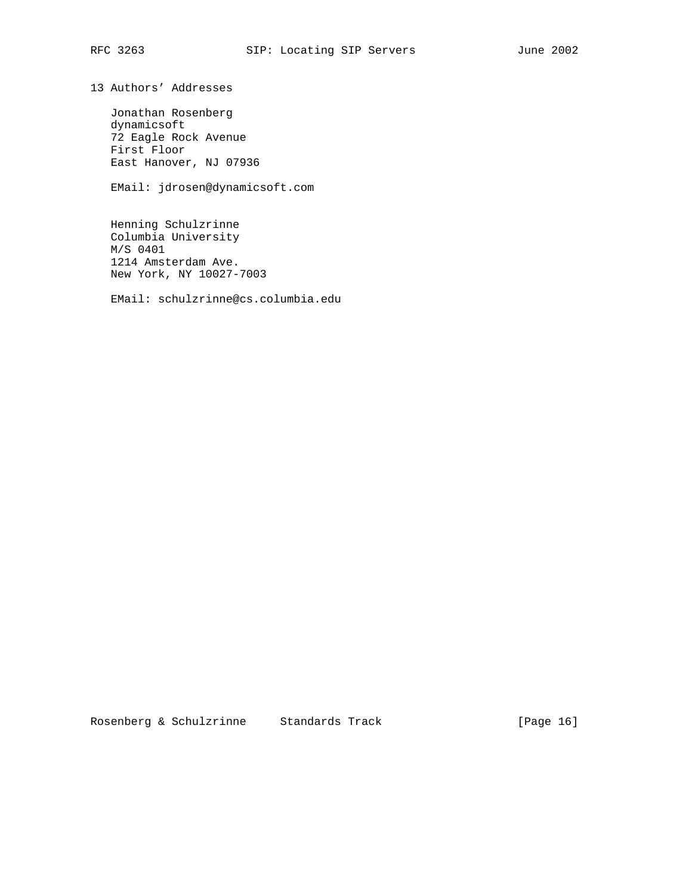13 Authors' Addresses

 Jonathan Rosenberg dynamicsoft 72 Eagle Rock Avenue First Floor East Hanover, NJ 07936

EMail: jdrosen@dynamicsoft.com

 Henning Schulzrinne Columbia University M/S 0401 1214 Amsterdam Ave. New York, NY 10027-7003

EMail: schulzrinne@cs.columbia.edu